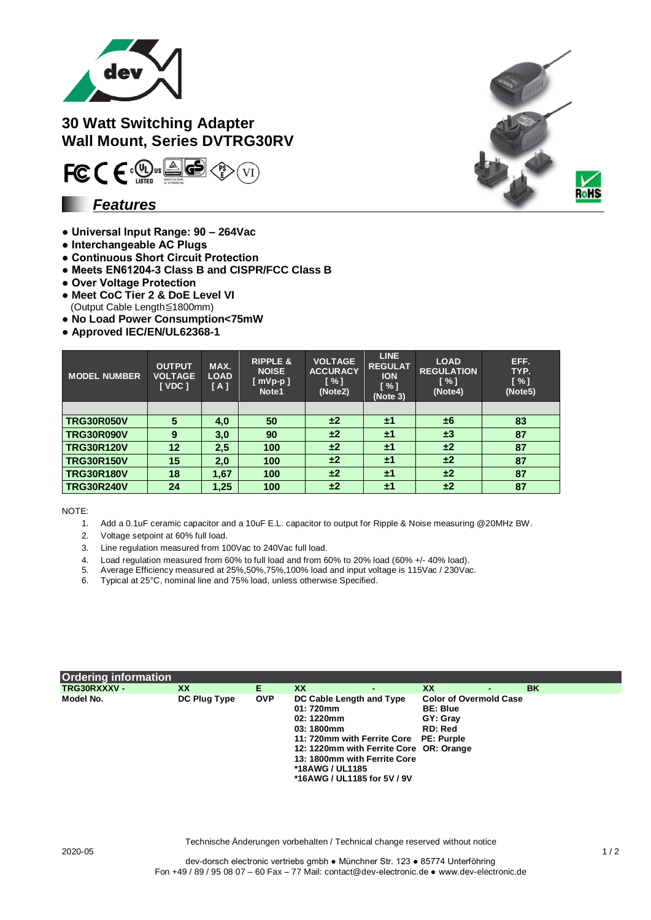

## **30 Watt Switching Adapter Wall Mount, Series DVTRG30RV**



### *Features*

- **Universal Input Range: 90 – 264Vac**
- **Interchangeable AC Plugs**
- **Continuous Short Circuit Protection**
- **Meets EN61204-3 Class B and CISPR/FCC Class B**
- **Over Voltage Protection**
- **Meet CoC Tier 2 & DoE Level VI**
- (Output Cable Length≦1800mm)
- **No Load Power Consumption<75mW**
- **Approved IEC/EN/UL62368-1**

| <b>MODEL NUMBER</b> | <b>OUTPUT</b><br><b>VOLTAGE</b><br><b>I</b> VDC 1 | MAX.<br><b>LOAD</b><br>[A] | <b>RIPPLE &amp;</b><br><b>NOISE</b><br>$[$ mVp-p $]$<br>Note1 | <b>VOLTAGE</b><br><b>ACCURACY</b><br>[ % ]<br>(Note2) | <b>LINE</b><br><b>REGULAT</b><br><b>ION</b><br>$\lceil \% \rceil$<br>(Note 3) | <b>LOAD</b><br><b>REGULATION</b><br>$\lceil \% \rceil$<br>(Note4) | EFF.<br>TYP.<br>$N \sim 1$<br>(Note5) |
|---------------------|---------------------------------------------------|----------------------------|---------------------------------------------------------------|-------------------------------------------------------|-------------------------------------------------------------------------------|-------------------------------------------------------------------|---------------------------------------|
|                     |                                                   |                            |                                                               |                                                       |                                                                               |                                                                   |                                       |
| <b>TRG30R050V</b>   | 5                                                 | 4,0                        | 50                                                            | ±2                                                    | ±1                                                                            | ±6                                                                | 83                                    |
| <b>TRG30R090V</b>   | 9                                                 | 3,0                        | 90                                                            | ±2                                                    | ±1                                                                            | ±3                                                                | 87                                    |
| <b>TRG30R120V</b>   | 12                                                | 2,5                        | 100                                                           | ±2                                                    | ±1                                                                            | ±2                                                                | 87                                    |
| <b>TRG30R150V</b>   | 15                                                | 2,0                        | 100                                                           | ±2                                                    | ±1                                                                            | ±2                                                                | 87                                    |
| <b>TRG30R180V</b>   | 18                                                | 1,67                       | 100                                                           | ±2                                                    | ±1                                                                            | ±2                                                                | 87                                    |
| <b>TRG30R240V</b>   | 24                                                | 1,25                       | 100                                                           | ±2                                                    | ±1                                                                            | ±2                                                                | 87                                    |

NOTE:

- 1. Add a 0.1uF ceramic capacitor and a 10uF E.L. capacitor to output for Ripple & Noise measuring @20MHz BW.
- 2. Voltage setpoint at 60% full load.
- 3. Line regulation measured from 100Vac to 240Vac full load.
- 4. Load regulation measured from 60% to full load and from 60% to 20% load (60% +/- 40% load).
- 5. Average Efficiency measured at 25%,50%,75%,100% load and input voltage is 115Vac / 230Vac.
- 6. Average Efficiency measured at  $25\%$ ,  $50\%$ ,  $60\%$ ,  $100\%$  load, unless otherwise Specified.<br>6. Typical at 25°C, nominal line and 75% load, unless otherwise Specified.

| <b>Ordering information</b> |              |            |                                                                                                                                                                                                                                                |                                                                         |                |    |
|-----------------------------|--------------|------------|------------------------------------------------------------------------------------------------------------------------------------------------------------------------------------------------------------------------------------------------|-------------------------------------------------------------------------|----------------|----|
| TRG30RXXXV -                | XX           | Е.         | XX                                                                                                                                                                                                                                             | XX                                                                      | $\blacksquare$ | BK |
| Model No.                   | DC Plug Type | <b>OVP</b> | DC Cable Length and Type<br>01: 720mm<br>02: 1220mm<br>03:1800mm<br>11: 720mm with Ferrite Core PE: Purple<br>12: 1220mm with Ferrite Core OR: Orange<br>13: 1800mm with Ferrite Core<br><b>*18AWG / UL1185</b><br>*16AWG / UL1185 for 5V / 9V | <b>Color of Overmold Case</b><br><b>BE: Blue</b><br>GY: Gray<br>RD: Red |                |    |



Technische Änderungen vorbehalten / Technical change reserved without notice